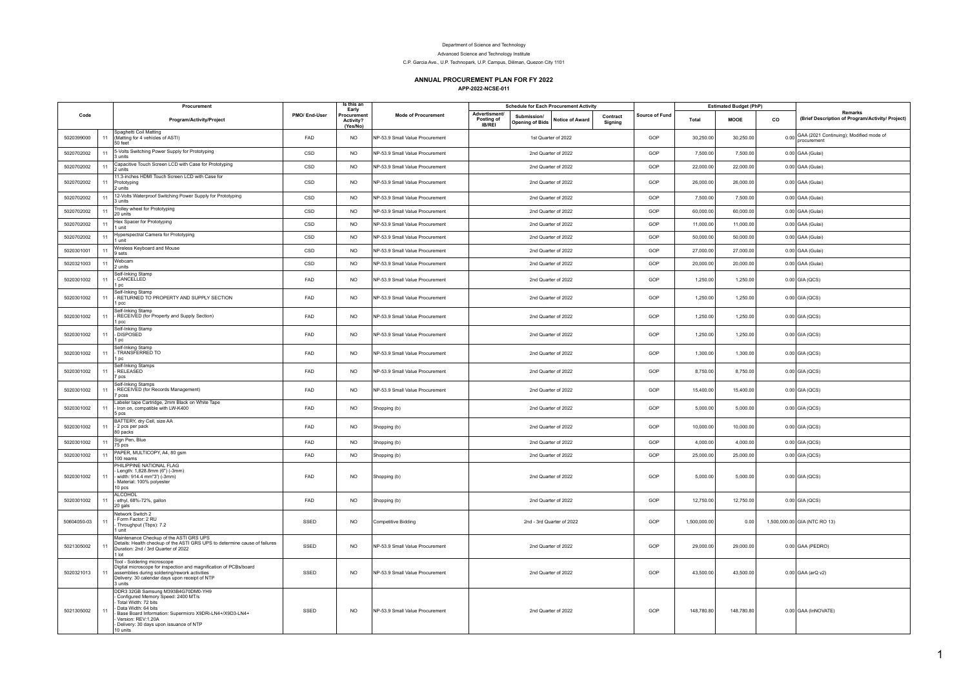## Department of Science and Technology

Advanced Science and Technology Institute

C.P. Garcia Ave., U.P. Technopark, U.P. Campus, Diliman, Quezon City 1101

## **ANNUAL PROCUREMENT PLAN FOR FY 2022**

**APP-2022-NCSE-011**

|             |    | Procurement                                                                                                                                                                                                                                                    |               | Is this an<br>Early                 |                                 |                                                                                                                                        |  | <b>Schedule for Each Procurement Activity</b> |       |      |              | <b>Estimated Budget (PhP)</b>                               |      |                                                        |
|-------------|----|----------------------------------------------------------------------------------------------------------------------------------------------------------------------------------------------------------------------------------------------------------------|---------------|-------------------------------------|---------------------------------|----------------------------------------------------------------------------------------------------------------------------------------|--|-----------------------------------------------|-------|------|--------------|-------------------------------------------------------------|------|--------------------------------------------------------|
| Code        |    | Program/Activity/Project                                                                                                                                                                                                                                       | PMO/ End-User | Procuremen<br>Activity?<br>(Yes/No) | <b>Mode of Procurement</b>      | Advertisment/<br>Submission/<br>Contract<br>Posting of<br><b>Notice of Award</b><br><b>Opening of Bids</b><br>Sianina<br><b>IB/REI</b> |  | Source of Fund                                | Total | MOOE | co           | Remarks<br>(Brief Description of Program/Activity/ Project) |      |                                                        |
| 5020399000  |    | Spaghetti Coil Matting<br>(Matting for 4 vehicles of ASTI)<br>50 feet                                                                                                                                                                                          | FAD           | <b>NO</b>                           | NP-53.9 Small Value Procurement |                                                                                                                                        |  | 1st Quarter of 2022                           |       | GOP  | 30,250.00    | 30,250.00                                                   | 0.00 | GAA (2021 Continuing); Modified mode of<br>procurement |
| 5020702002  | 11 | 5-Volts Switching Power Supply for Prototyping<br>units                                                                                                                                                                                                        | CSD           | NO <sub>1</sub>                     | NP-53.9 Small Value Procurement |                                                                                                                                        |  | 2nd Quarter of 2022                           |       | GOP  | 7,500.00     | 7,500.00                                                    |      | 0.00 GAA (Gulai)                                       |
| 5020702002  | 11 | Capacitive Touch Screen LCD with Case for Prototyping<br>2 units                                                                                                                                                                                               | CSD           | <b>NO</b>                           | NP-53 9 Small Value Procurement |                                                                                                                                        |  | 2nd Quarter of 2022                           |       | GOP  | 22,000.00    | 22,000.00                                                   |      | 0.00 GAA (Gulai)                                       |
| 5020702002  | 11 | 11.3-inches HDMI Touch Screen LCD with Case for<br>Prototyping<br>2 units                                                                                                                                                                                      | CSD           | <b>NO</b>                           | NP-53.9 Small Value Procurement |                                                                                                                                        |  | 2nd Quarter of 2022                           |       | GOP  | 26,000.00    | 26,000.00                                                   |      | 0.00 GAA (Gulai)                                       |
| 5020702002  | 11 | 12-Volts Waterproof Switching Power Supply for Prototyping<br>3 units                                                                                                                                                                                          | CSD           | <b>NO</b>                           | NP-53.9 Small Value Procurement |                                                                                                                                        |  | 2nd Quarter of 2022                           |       | GOP  | 7,500.00     | 7,500.00                                                    |      | 0.00 GAA (Gulai)                                       |
| 5020702002  | 11 | Trolley wheel for Prototyping<br>20 units                                                                                                                                                                                                                      | CSD           | <b>NO</b>                           | NP-53.9 Small Value Procurement |                                                                                                                                        |  | 2nd Quarter of 2022                           |       | GOP  | 60,000.00    | 60,000.00                                                   |      | 0.00 GAA (Gulai)                                       |
| 5020702002  | 11 | Hex Spacer for Prototyping<br>1 unit                                                                                                                                                                                                                           | CSD           | <b>NO</b>                           | NP-53.9 Small Value Procurement |                                                                                                                                        |  | 2nd Quarter of 2022                           |       | GOP  | 11,000.00    | 11,000.00                                                   |      | 0.00 GAA (Gulai)                                       |
| 5020702002  |    | Hyperspectral Camera for Prototyping<br>unit                                                                                                                                                                                                                   | CSD           | <b>NO</b>                           | NP-53.9 Small Value Procurement |                                                                                                                                        |  | 2nd Quarter of 2022                           |       | GOP  | 50,000.00    | 50,000.00                                                   |      | 0.00 GAA (Gulai)                                       |
| 5020301001  | 11 | Wireless Keyboard and Mouse<br>9 sets.                                                                                                                                                                                                                         | CSD           | N <sub>O</sub>                      | NP-53.9 Small Value Procurement |                                                                                                                                        |  | 2nd Quarter of 2022                           |       | GOP  | 27,000.00    | 27,000.00                                                   |      | 0.00 GAA (Gulai)                                       |
| 5020321003  | 11 | Webcam<br>2 units                                                                                                                                                                                                                                              | CSD           | <b>NO</b>                           | NP-53.9 Small Value Procurement |                                                                                                                                        |  | 2nd Quarter of 2022                           |       | GOP  | 20,000.00    | 20,000.00                                                   |      | 0.00 GAA (Gulai)                                       |
| 5020301002  | 11 | Self-Inking Stamp<br>- CANCELLED<br>pc                                                                                                                                                                                                                         | FAD           | <b>NO</b>                           | NP-53.9 Small Value Procurement |                                                                                                                                        |  | 2nd Quarter of 2022                           |       | GOP  | 1,250.00     | 1,250.00                                                    |      | $0.00$ GIA (QCS)                                       |
| 5020301002  | 11 | Self-Inking Stamp<br>RETURNED TO PROPERTY AND SUPPLY SECTION<br>l pcc                                                                                                                                                                                          | FAD           | NO <sub>1</sub>                     | NP-53.9 Small Value Procurement |                                                                                                                                        |  | 2nd Quarter of 2022                           |       | GOP  | 1,250.00     | 1,250.00                                                    |      | 0.00 GIA (QCS)                                         |
| 5020301002  | 11 | Self-Inking Stamp<br>- RECEIVED (for Property and Supply Section)<br>1 pcc                                                                                                                                                                                     | FAD           | <b>NO</b>                           | NP-53.9 Small Value Procurement |                                                                                                                                        |  | 2nd Quarter of 2022                           |       | GOP  | 1,250.00     | 1,250.00                                                    |      | 0.00 GIA (QCS)                                         |
| 5020301002  |    | Self-Inking Stamp<br><b>DISPOSED</b><br>1 pc                                                                                                                                                                                                                   | FAD           | <b>NO</b>                           | NP-53.9 Small Value Procurement |                                                                                                                                        |  | 2nd Quarter of 2022                           |       | GOP  | 1,250.00     | 1,250.00                                                    |      | $0.00$ GIA (QCS)                                       |
| 5020301002  | 11 | Self-Inking Stamp<br>TRANSFERRED TO<br>pc                                                                                                                                                                                                                      | FAD           | <b>NO</b>                           | NP-53.9 Small Value Procurement |                                                                                                                                        |  | 2nd Quarter of 2022                           |       | GOP  | 1,300.00     | 1,300.00                                                    |      | $0.00$ GIA (QCS)                                       |
| 5020301002  | 11 | Self-Inking Stamps<br>RELEASED<br>7 pcs                                                                                                                                                                                                                        | FAD           | <b>NO</b>                           | NP-53.9 Small Value Procurement |                                                                                                                                        |  | 2nd Quarter of 2022                           |       | GOP  | 8,750.00     | 8,750.00                                                    |      | 0.00 GIA (QCS)                                         |
| 5020301002  |    | Self-Inking Stamps<br>RECEIVED (for Records Management)<br>pcss                                                                                                                                                                                                | FAD           | <b>NO</b>                           | NP-53.9 Small Value Procurement |                                                                                                                                        |  | 2nd Quarter of 2022                           |       | GOP  | 15,400.00    | 15,400.00                                                   |      | $0.00$ GIA (QCS)                                       |
| 5020301002  | 11 | Labeler tape Cartridge, 2mm Black on White Tape<br>- Iron on, compatible with LW-K400<br>5 pcs                                                                                                                                                                 | FAD           | <b>NO</b>                           | Shopping (b)                    |                                                                                                                                        |  | 2nd Quarter of 2022                           |       | GOP  | 5,000.00     | 5,000.00                                                    |      | $0.00$ GIA (QCS)                                       |
| 5020301002  | 11 | BATTERY, dry Cell, size AA<br>- 2 pcs per pack<br>80 packs                                                                                                                                                                                                     | FAD           | <b>NO</b>                           | Shopping (b)                    |                                                                                                                                        |  | 2nd Quarter of 2022                           |       | GOP  | 10,000.00    | 10,000.00                                                   |      | 0.00 GIA (QCS)                                         |
| 5020301002  | 11 | Sign Pen, Blue<br>75 pcs                                                                                                                                                                                                                                       | FAD           | <b>NO</b>                           | Shopping (b)                    |                                                                                                                                        |  | 2nd Quarter of 2022                           |       | GOP  | 4,000.00     | 4,000.00                                                    |      | $0.00$ GIA (QCS)                                       |
| 5020301002  | 11 | PAPER, MULTICOPY, A4, 80 gsm<br>100 reams                                                                                                                                                                                                                      | FAD           | <b>NO</b>                           | Shopping (b)                    |                                                                                                                                        |  | 2nd Quarter of 2022                           |       | GOP  | 25,000.00    | 25,000.00                                                   |      | $0.00$ GIA (QCS)                                       |
| 5020301002  | 11 | PHILIPPINE NATIONAL FLAG<br>Length: 1,828.8mm (6") (-3mm)<br>width: 914.4 mm"3') (-3mm)<br>Material: 100% polyester<br>10 pcs                                                                                                                                  | FAD           | <b>NO</b>                           | Shopping (b)                    |                                                                                                                                        |  | 2nd Quarter of 2022                           |       | GOP  | 5,000.00     | 5,000.00                                                    |      | 0.00 GIA (QCS)                                         |
| 5020301002  | 11 | <b>ALCOHOL</b><br>ethyl, 68%-72%, gallon<br>20 gals                                                                                                                                                                                                            | FAD           | <b>NO</b>                           | Shopping (b)                    |                                                                                                                                        |  | 2nd Quarter of 2022                           |       | GOP  | 12,750.00    | 12,750.00                                                   |      | $0.00$ GIA (QCS)                                       |
| 50604050-03 |    | Network Switch 2<br>Form Factor: 2 RU<br>Throughput (Tbps): 7.2<br>unit                                                                                                                                                                                        | SSED          | NO <sub>1</sub>                     | <b>Competitive Bidding</b>      |                                                                                                                                        |  | 2nd - 3rd Quarter of 2022                     |       | GOP  | 1,500,000.00 | 0.00                                                        |      | 1,500,000.00 GIA (NTC RO 13)                           |
| 5021305002  |    | Maintenance Checkup of the ASTI GRS UPS<br>Details: Health checkup of the ASTI GRS UPS to determine cause of failures<br>Duration: 2nd / 3rd Quarter of 2022<br>1 lot                                                                                          | SSED          | <b>NO</b>                           | NP-53.9 Small Value Procurement |                                                                                                                                        |  | 2nd Quarter of 2022                           |       | GOP  | 29,000.00    | 29,000.00                                                   |      | $0.00$ GAA (PEDRO)                                     |
| 5020321013  | 11 | Tool - Soldering microscope<br>Digital microscope for inspection and magnification of PCBs/board<br>assemblies during soldering/rework activities<br>Delivery: 30 calendar days upon receipt of NTP<br>3 units                                                 | SSED          | <b>NO</b>                           | NP-53.9 Small Value Procurement |                                                                                                                                        |  | 2nd Quarter of 2022                           |       | GOP  | 43,500.00    | 43,500.00                                                   |      | 0.00 GAA (arQ v2)                                      |
| 5021305002  |    | DDR3 32GB Samsung M393B4G70DM0-YH9<br>Configured Memory Speed: 2400 MT/s<br>Total Width: 72 bits<br>Data Width: 64 bits<br>Base Board Information: Supermicro X9DRi-LN4+/X9D3-LN4+<br>Version: REV:1.20A<br>Delivery: 30 days upon issuance of NTP<br>10 units | SSED          | NO <sub>1</sub>                     | NP-53 9 Small Value Procurement |                                                                                                                                        |  | 2nd Quarter of 2022                           |       | GOP  | 148,780.80   | 148,780.80                                                  |      | 0.00 GAA (InNOVATE)                                    |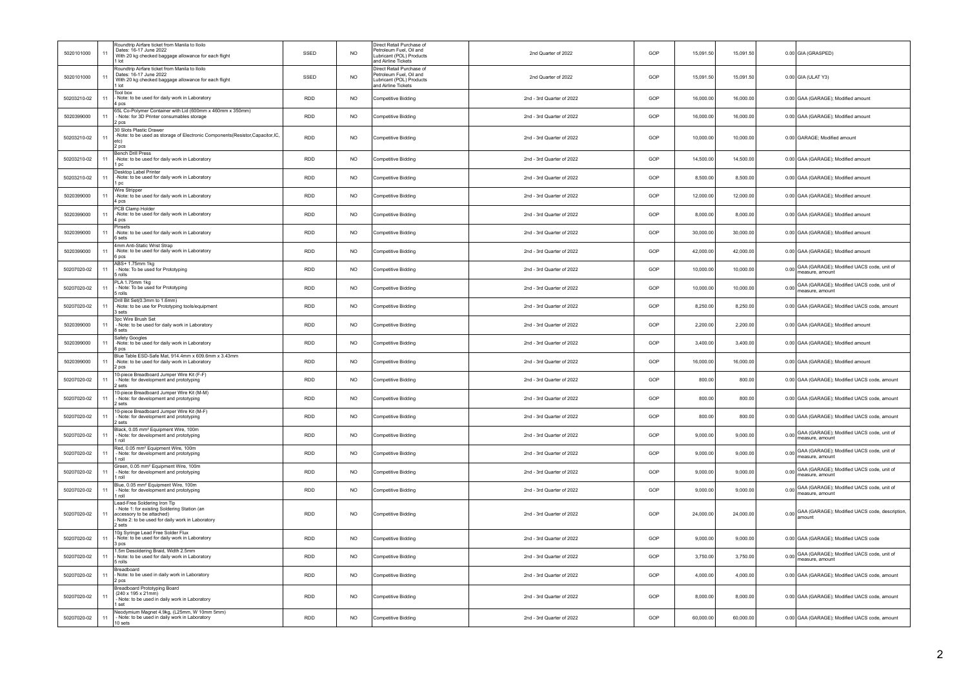| 5020101000  | 11   | Roundtrip Airfare ticket from Manila to Iloilo<br>Dates: 16-17 June 2022<br>With 20 kg checked baggage allowance for each flight<br>1 lot                            | SSED       | <b>NO</b>       | Direct Retail Purchase of<br>Petroleum Fuel, Oil and<br>Lubricant (POL) Products<br>and Airline Tickets | 2nd Quarter of 2022       | GOP | 15,091.50<br>15,091.50 |      | 0.00 GIA (GRASPED)                                                |
|-------------|------|----------------------------------------------------------------------------------------------------------------------------------------------------------------------|------------|-----------------|---------------------------------------------------------------------------------------------------------|---------------------------|-----|------------------------|------|-------------------------------------------------------------------|
| 5020101000  | 11   | Roundtrip Airfare ticket from Manila to Iloilo<br>Dates: 16-17 June 2022<br>With 20 kg checked baggage allowance for each flight<br>1 lot                            | SSED       | N <sub>O</sub>  | Direct Retail Purchase of<br>Petroleum Fuel, Oil and<br>ubricant (POL) Products<br>and Airline Tickets  | 2nd Quarter of 2022       | GOP | 15 091 50<br>15.091.50 |      | 0.00 GIA (ULAT Y3)                                                |
| 50203210-02 | 11   | <b>Tool box</b><br>Note: to be used for daily work in Laboratory<br>4 pcs                                                                                            | <b>RDD</b> | <b>NO</b>       | Competitive Bidding                                                                                     | 2nd - 3rd Quarter of 2022 | GOP | 16,000.00<br>16,000.00 |      | 0.00 GAA (GARAGE); Modified amount                                |
| 5020399000  | 11   | 65L Co-Polymer Container with Lid (600mm x 460mm x 350mm)<br>- Note: for 3D Printer consumables storage<br>2 pcs                                                     | <b>RDD</b> | NO <sub>1</sub> | Competitive Bidding                                                                                     | 2nd - 3rd Quarter of 2022 | GOP | 16,000.00<br>16,000.00 |      | 0.00 GAA (GARAGE); Modified amount                                |
| 50203210-02 | 11   | 30 Slots Plastic Drawer<br>-Note: to be used as storage of Electronic Components(Resistor,Capacitor,IC,<br>etc)<br>2 pcs                                             | <b>RDD</b> | NO              | Competitive Bidding                                                                                     | 2nd - 3rd Quarter of 2022 | GOP | 10,000.00<br>10,000.00 |      | 0.00 GARAGE; Modified amount                                      |
| 50203210-02 | 11   | <b>Bench Drill Press</b><br>-Note: to be used for daily work in Laboratory<br>1 pc                                                                                   | <b>RDD</b> | N <sub>O</sub>  | Competitive Bidding                                                                                     | 2nd - 3rd Quarter of 2022 | GOP | 14,500.00<br>14,500.00 |      | 0.00 GAA (GARAGE); Modified amount                                |
| 50203210-02 | 11   | Desktop Label Printer<br>-Note: to be used for daily work in Laboratory<br>1 pc                                                                                      | RDD        | <b>NO</b>       | Competitive Bidding                                                                                     | 2nd - 3rd Quarter of 2022 | GOP | 8,500.00<br>8,500.00   |      | 0.00 GAA (GARAGE); Modified amount                                |
| 5020399000  | 11   | Wire Stripper<br>-Note: to be used for daily work in Laboratory<br>4 pcs                                                                                             | <b>RDD</b> | N <sub>O</sub>  | Competitive Bidding                                                                                     | 2nd - 3rd Quarter of 2022 | GOP | 12,000.00<br>12.000.00 |      | 0.00 GAA (GARAGE); Modified amount                                |
| 5020399000  | 11   | PCB Clamp Holder<br>-Note: to be used for daily work in Laboratory<br>4 pcs                                                                                          | <b>RDD</b> | N <sub>O</sub>  | Competitive Bidding                                                                                     | 2nd - 3rd Quarter of 2022 | GOP | 8,000.00<br>8,000.00   |      | 0.00 GAA (GARAGE); Modified amount                                |
| 5020399000  | 11   | Pinsets<br>-Note: to be used for daily work in Laboratory<br>6 sets                                                                                                  | <b>RDD</b> | NO              | Competitive Bidding                                                                                     | 2nd - 3rd Quarter of 2022 | GOP | 30,000.00<br>30,000.00 |      | 0.00 GAA (GARAGE); Modified amount                                |
| 5020399000  | 11   | 4mm Anti-Static Wrist Strap<br>-Note: to be used for daily work in Laboratory<br>6 pcs                                                                               | RDD        | <b>NO</b>       | Competitive Bidding                                                                                     | 2nd - 3rd Quarter of 2022 | GOP | 42,000.00<br>42,000.00 |      | 0.00 GAA (GARAGE); Modified amount                                |
| 50207020-02 | 11   | ABS+ 1.75mm 1kg<br>- Note: To be used for Prototyping<br>5 rolls                                                                                                     | <b>RDD</b> | N <sub>O</sub>  | <b>Competitive Bidding</b>                                                                              | 2nd - 3rd Quarter of 2022 | GOP | 10,000.00<br>10.000.00 |      | 0.00 GAA (GARAGE); Modified UACS code, unit of<br>measure, amount |
| 50207020-02 | 11   | PLA 1.75mm 1kg<br>- Note: To be used for Prototyping<br>5 rolls                                                                                                      | <b>RDD</b> | N <sub>O</sub>  | Competitive Bidding                                                                                     | 2nd - 3rd Quarter of 2022 | GOP | 10,000.00<br>10,000.00 | 0.00 | GAA (GARAGE): Modified UACS code, unit of<br>measure amount       |
| 50207020-02 | 11   | Drill Bit Set(0.3mm to 1.6mm)<br>-Note: to be use for Prototyping tools/equipment<br>sets                                                                            | <b>RDD</b> | <b>NO</b>       | Competitive Bidding                                                                                     | 2nd - 3rd Quarter of 2022 | GOP | 8,250.00<br>8,250.00   |      | 0.00 GAA (GARAGE); Modified UACS code, amount                     |
| 5020399000  | 11   | 3pc Wire Brush Set<br>- Note: to be used for daily work in Laboratory<br>8 sets                                                                                      | <b>RDD</b> | N <sub>O</sub>  | Competitive Bidding                                                                                     | 2nd - 3rd Quarter of 2022 | GOP | 2,200.00<br>2,200.00   |      | 0.00 GAA (GARAGE); Modified amount                                |
| 5020399000  | 11   | Safety Googles<br>-Note: to be used for daily work in Laboratory<br>8 pcs                                                                                            | RDD        | <b>NO</b>       | Competitive Bidding                                                                                     | 2nd - 3rd Quarter of 2022 | GOP | 3,400.00<br>3,400.00   |      | 0.00 GAA (GARAGE); Modified amount                                |
| 5020399000  | 11   | Blue Table ESD-Safe Mat 914 4mm x 609 6mm x 3 43mm<br>-Note: to be used for daily work in Laboratory<br>2 pcs                                                        | <b>RDD</b> | <b>NO</b>       | Competitive Bidding                                                                                     | 2nd - 3rd Quarter of 2022 | GOP | 16,000.00<br>16,000.00 |      | 0.00 GAA (GARAGE); Modified amount                                |
| 50207020-02 | 11   | 10-piece Breadboard Jumper Wire Kit (F-F)<br>Note: for development and prototyping<br>2 sets                                                                         | <b>RDD</b> | <b>NO</b>       | <b>Competitive Bidding</b>                                                                              | 2nd - 3rd Quarter of 2022 | GOP | 800.00<br>800.00       |      | 0.00 GAA (GARAGE); Modified UACS code, amount                     |
| 50207020-02 | 11   | 10-niece Breadboard Jumper Wire Kit (M-M)<br>- Note: for development and prototyping<br>2 sets                                                                       | <b>RDD</b> | <b>NO</b>       | Competitive Bidding                                                                                     | 2nd - 3rd Quarter of 2022 | GOP | 800.00<br>800.00       |      | 0.00 GAA (GARAGE); Modified UACS code, amount                     |
| 50207020-02 | 11   | 10-piece Breadboard Jumper Wire Kit (M-F)<br>- Note: for development and prototyping<br>2 sets                                                                       | <b>RDD</b> | <b>NO</b>       | Competitive Bidding                                                                                     | 2nd - 3rd Quarter of 2022 | GOP | 800.00<br>800.00       |      | 0.00 GAA (GARAGE); Modified UACS code, amount                     |
| 50207020-02 | $11$ | Black, 0.05 mm <sup>2</sup> Equipment Wire, 100m<br>- Note: for development and prototyping<br>i roll                                                                | <b>RDD</b> | NO              | Competitive Bidding                                                                                     | 2nd - 3rd Quarter of 2022 | GOP | 9,000.00<br>9,000.00   |      | 0.00 GAA (GARAGE); Modified UACS code, unit of<br>measure, amount |
| 50207020-02 | 11   | Red, 0.05 mm <sup>2</sup> Equipment Wire, 100m<br>- Note: for development and prototyping<br>1 roll                                                                  | <b>RDD</b> | N <sub>O</sub>  | Competitive Bidding                                                                                     | 2nd - 3rd Quarter of 2022 | GOP | 9,000.00<br>9,000.00   | 0.00 | GAA (GARAGE); Modified UACS code, unit of<br>measure, amount      |
| 50207020-02 | 11   | Green, 0.05 mm <sup>2</sup> Equipment Wire, 100m<br>- Note: for development and prototyping<br>roll                                                                  | RDD        | NO.             | Competitive Bidding                                                                                     | 2nd - 3rd Quarter of 2022 | GOP | 9,000.00<br>9,000.00   |      | 0.00 GAA (GARAGE); Modified UACS code, unit of<br>measure, amount |
| 50207020-02 | 11   | Blue, 0.05 mm <sup>2</sup> Equipment Wire, 100m<br>- Note: for development and prototyping<br>roll                                                                   | <b>RDD</b> | <b>NO</b>       | Competitive Bidding                                                                                     | 2nd - 3rd Quarter of 2022 | GOP | 9,000.00<br>9,000.00   |      | 0.00 GAA (GARAGE); Modified UACS code, unit of<br>measure amount  |
| 50207020-02 | 11   | Lead-Free Soldering Iron Tip<br>Note 1: for existing Soldering Station (an<br>accessory to be attached)<br>Note 2: to be used for daily work in Laboratory<br>2 sets | RDD        | <b>NO</b>       | <b>Competitive Bidding</b>                                                                              | 2nd - 3rd Quarter of 2022 | GOP | 24,000.00<br>24,000.00 |      | 0.00 GAA (GARAGE); Modified UACS code, description,               |
| 50207020-02 | 11   | 10g Syringe Lead Free Solder Flux<br>- Note: to be used for daily work in Laboratory<br>3 pcs                                                                        | <b>RDD</b> | N <sub>O</sub>  | Competitive Bidding                                                                                     | 2nd - 3rd Quarter of 2022 | GOP | 9,000.00<br>9,000.00   |      | 0.00 GAA (GARAGE); Modified UACS code                             |
| 50207020-02 | 11   | 1.5m Desoldering Braid, Width 2.5mm<br>Note: to be used for daily work in Laboratory<br>5 rolls                                                                      | <b>RDD</b> | <b>NO</b>       | <b>Competitive Bidding</b>                                                                              | 2nd - 3rd Quarter of 2022 | GOP | 3,750.00<br>3,750.00   | 0.00 | GAA (GARAGE); Modified UACS code, unit of<br>measure, amount      |
| 50207020-02 | 11   | Breadboard<br>Note: to be used in daily work in Laboratory<br>2 pcs                                                                                                  | <b>RDD</b> | <b>NO</b>       | Competitive Bidding                                                                                     | 2nd - 3rd Quarter of 2022 | GOP | 4,000.00<br>4,000.00   |      | 0.00 GAA (GARAGE); Modified UACS code, amount                     |
| 50207020-02 | 11   | Breadboard Prototyping Board<br>(240 x 195 x 21mm)<br>- Note: to be used in daily work in Laboratory<br>1 set                                                        | <b>RDD</b> | <b>NO</b>       | <b>Competitive Bidding</b>                                                                              | 2nd - 3rd Quarter of 2022 | GOP | 8,000.00<br>8,000.00   |      | 0.00 GAA (GARAGE); Modified UACS code, amount                     |
| 50207020-02 | 11   | Neodymium Magnet 4.9kg, (L25mm, W 10mm 5mm)<br>- Note: to be used in daily work in Laboratory<br>10 sets                                                             | RDD        | NO.             | Competitive Bidding                                                                                     | 2nd - 3rd Quarter of 2022 | GOP | 60,000.00<br>60,000.00 |      | 0.00 GAA (GARAGE); Modified UACS code, amount                     |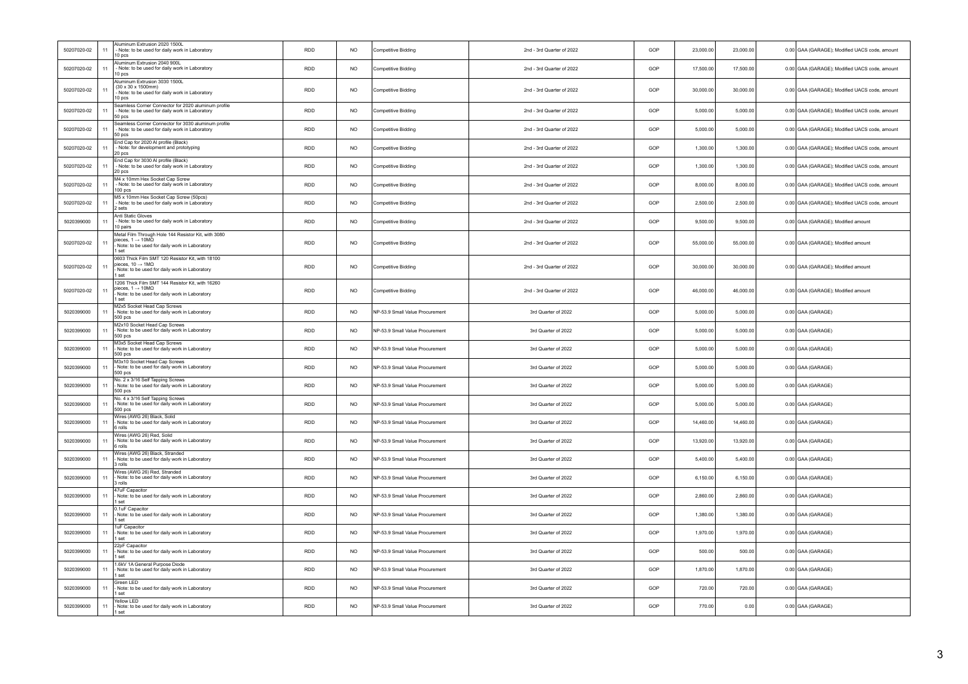| 50207020-02 | 11   | Aluminum Extrusion 2020 1500L<br>- Note: to be used for daily work in Laboratory                                                                        | RDD        | <b>NO</b>       | Competitive Bidding             | 2nd - 3rd Quarter of 2022 | GOP | 23,000.00 | 23,000.00 | 0.00 GAA (GARAGE); Modified UACS code, amount |
|-------------|------|---------------------------------------------------------------------------------------------------------------------------------------------------------|------------|-----------------|---------------------------------|---------------------------|-----|-----------|-----------|-----------------------------------------------|
| 50207020-02 | 11   | 10 pcs<br>Aluminum Extrusion 2040 900L<br>- Note: to be used for daily work in Laboratory                                                               | <b>RDD</b> | <b>NO</b>       | Competitive Bidding             | 2nd - 3rd Quarter of 2022 | GOP | 17,500.00 | 17,500.00 | 0.00 GAA (GARAGE); Modified UACS code, amount |
|             |      | 10 pcs<br>Aluminum Extrusion 3030 1500L                                                                                                                 |            |                 |                                 |                           |     |           |           |                                               |
| 50207020-02 | 11   | (30 x 30 x 1500mm)<br>Note: to be used for daily work in Laboratory<br>10 pcs                                                                           | <b>RDD</b> | N <sub>O</sub>  | Competitive Bidding             | 2nd - 3rd Quarter of 2022 | GOP | 30,000.00 | 30,000.00 | 0.00 GAA (GARAGE); Modified UACS code, amount |
| 50207020-02 | 11   | Seamless Corner Connector for 2020 aluminum profile<br>- Note: to be used for daily work in Laboratory<br>50 pcs                                        | <b>RDD</b> | <b>NO</b>       | <b>Competitive Bidding</b>      | 2nd - 3rd Quarter of 2022 | GOP | 5,000.00  | 5,000.00  | 0.00 GAA (GARAGE); Modified UACS code, amount |
| 50207020-02 | 11   | Seamless Corner Connector for 3030 aluminum profile<br>- Note: to be used for daily work in Laboratory<br>50 pcs                                        | <b>RDD</b> | NO              | Competitive Bidding             | 2nd - 3rd Quarter of 2022 | GOP | 5,000.00  | 5,000.00  | 0.00 GAA (GARAGE); Modified UACS code, amount |
| 50207020-02 | 11   | End Cap for 2020 Al profile (Black)<br>- Note: for development and prototyping<br>20 pcs                                                                | <b>RDD</b> | <b>NO</b>       | Competitive Bidding             | 2nd - 3rd Quarter of 2022 | GOP | 1,300.00  | 1,300.00  | 0.00 GAA (GARAGE); Modified UACS code, amount |
| 50207020-02 | 11   | End Cap for 3030 Al profile (Black)<br>- Note: to be used for daily work in Laboratory<br>20 pcs                                                        | RDD        | <b>NO</b>       | Competitive Bidding             | 2nd - 3rd Quarter of 2022 | GOP | 1,300.00  | 1,300.00  | 0.00 GAA (GARAGE); Modified UACS code, amount |
| 50207020-02 | 11   | M4 x 10mm Hex Socket Can Screw<br>- Note: to be used for daily work in Laboratory<br>$100$ pcs                                                          | <b>RDD</b> | N <sub>O</sub>  | <b>Competitive Bidding</b>      | 2nd - 3rd Quarter of 2022 | GOP | 8,000.00  | 8,000.00  | 0.00 GAA (GARAGE); Modified UACS code, amount |
| 50207020-02 | $11$ | M5 x 10mm Hex Socket Cap Screw (50pcs)<br>- Note: to be used for daily work in Laboratory<br>2 sets                                                     | RDD        | NO.             | Competitive Bidding             | 2nd - 3rd Quarter of 2022 | GOP | 2,500.00  | 2,500.00  | 0.00 GAA (GARAGE); Modified UACS code, amount |
| 5020399000  | 11   | Anti Static Gloves<br>- Note: to be used for daily work in Laboratory<br>10 pairs                                                                       | <b>RDD</b> | NO <sub>1</sub> | Competitive Bidding             | 2nd - 3rd Quarter of 2022 | GOP | 9,500.00  | 9,500.00  | 0.00 GAA (GARAGE); Modified amount            |
| 50207020-02 | 11   | Metal Film Through Hole 144 Resistor Kit, with 3080<br>pieces, 1 $\rightarrow$ 10MQ<br>Note: to be used for daily work in Laboratory<br>1 set           | <b>RDD</b> | N <sub>O</sub>  | <b>Competitive Bidding</b>      | 2nd - 3rd Quarter of 2022 | GOP | 55,000.00 | 55,000.00 | 0.00 GAA (GARAGE); Modified amount            |
| 50207020-02 | 11   | 0603 Thick Film SMT 120 Resistor Kit, with 18100<br>pieces, $10 \rightarrow 1 \text{M}\Omega$<br>Note: to be used for daily work in Laboratory<br>1 set | <b>RDD</b> | NO              | Competitive Bidding             | 2nd - 3rd Quarter of 2022 | GOP | 30,000.00 | 30,000.00 | 0.00 GAA (GARAGE); Modified amount            |
| 50207020-02 | 11   | 1206 Thick Film SMT 144 Resistor Kit, with 16260<br>pieces, $1 \rightarrow 10 \text{M}\Omega$<br>Note: to be used for daily work in Laboratory<br>1 set | <b>RDD</b> | <b>NO</b>       | Competitive Bidding             | 2nd - 3rd Quarter of 2022 | GOP | 46,000.00 | 46,000.00 | 0.00 GAA (GARAGE); Modified amount            |
| 5020399000  | 11   | M2x5 Socket Head Cap Screws<br>- Note: to be used for daily work in Laboratory<br>500 pcs                                                               | <b>RDD</b> | <b>NO</b>       | NP-53.9 Small Value Procurement | 3rd Quarter of 2022       | GOP | 5,000.00  | 5,000.00  | 0.00 GAA (GARAGE)                             |
| 5020399000  | 11   | M2x10 Socket Head Cap Screws<br>Note: to be used for daily work in Laboratory<br>500 pcs                                                                | <b>RDD</b> | NO              | NP-53.9 Small Value Procurement | 3rd Quarter of 2022       | GOP | 5,000.00  | 5,000.00  | 0.00 GAA (GARAGE)                             |
| 5020399000  | 11   | M3x5 Socket Head Cap Screws<br>Note: to be used for daily work in Laboratory<br>500 pcs                                                                 | <b>RDD</b> | NO.             | NP-53.9 Small Value Procurement | 3rd Quarter of 2022       | GOP | 5,000.00  | 5,000.00  | 0.00 GAA (GARAGE)                             |
| 5020399000  | 11   | M3x10 Socket Head Cap Screws<br>Note: to be used for daily work in Laboratory<br>500 pcs                                                                | <b>RDD</b> | <b>NO</b>       | NP-53.9 Small Value Procurement | 3rd Quarter of 2022       | GOP | 5,000.00  | 5,000.00  | 0.00 GAA (GARAGE)                             |
| 5020399000  | 11   | No. 2 x 3/16 Self Tapping Screws<br>Note: to be used for daily work in Laboratory<br>500 pcs                                                            | <b>RDD</b> | <b>NO</b>       | NP-53.9 Small Value Procurement | 3rd Quarter of 2022       | GOP | 5,000.00  | 5,000.00  | 0.00 GAA (GARAGE)                             |
| 5020399000  | 11   | No. 4 x 3/16 Self Tapping Screws<br>- Note: to be used for daily work in Laboratory<br>500 pcs                                                          | <b>RDD</b> | <b>NO</b>       | NP-53.9 Small Value Procurement | 3rd Quarter of 2022       | GOP | 5,000.00  | 5,000.00  | 0.00 GAA (GARAGE)                             |
| 5020399000  | 11   | Wires (AWG 26) Black, Solid<br>Note: to be used for daily work in Laboratory<br>6 rolls                                                                 | <b>RDD</b> | <b>NO</b>       | NP-53.9 Small Value Procurement | 3rd Quarter of 2022       | GOP | 14,460.00 | 14,460.00 | 0.00 GAA (GARAGE)                             |
| 5020399000  | 11   | Wires (AWG 26) Red, Solid<br>Note: to be used for daily work in Laboratory<br>6 rolls                                                                   | <b>RDD</b> | N <sub>O</sub>  | NP-53 9 Small Value Procurement | 3rd Quarter of 2022       | GOP | 13,920.00 | 13 920 00 | 0.00 GAA (GARAGE)                             |
| 5020399000  | 11   | Wires (AWG 26) Black, Stranded<br>Note: to be used for daily work in Laboratory<br>3 rolls                                                              | RDD        | <b>NO</b>       | NP-53.9 Small Value Procurement | 3rd Quarter of 2022       | GOP | 5,400.00  | 5,400.00  | 0.00 GAA (GARAGE)                             |
| 5020399000  | 11   | Wires (AWG 26) Red. Stranded<br>- Note: to be used for daily work in Laboratory<br>3 rolls                                                              | <b>RDD</b> | <b>NO</b>       | NP-53 9 Small Value Procurement | 3rd Quarter of 2022       | GOP | 6,150.00  | 6,150.00  | 0.00 GAA (GARAGE)                             |
| 5020399000  | 11   | 47uF Capacitor<br>Note: to be used for daily work in Laboratory<br>1 set                                                                                | <b>RDD</b> | NO              | NP-53.9 Small Value Procurement | 3rd Quarter of 2022       | GOP | 2,860.00  | 2,860.00  | 0.00 GAA (GARAGE)                             |
| 5020399000  | 11   | 0.1uF Canacitor<br>Note: to be used for daily work in Laboratory<br>1 set                                                                               | <b>RDD</b> | N <sub>O</sub>  | NP-53 9 Small Value Procurement | 3rd Quarter of 2022       | GOP | 1.380.00  | 1.380.00  | 0.00 GAA (GARAGE)                             |
| 5020399000  | 11   | 1uF Capacitor<br>Note: to be used for daily work in Laboratory<br>1 set                                                                                 | <b>RDD</b> | NO              | NP-53.9 Small Value Procurement | 3rd Quarter of 2022       | GOP | 1,970.00  | 1,970.00  | 0.00 GAA (GARAGE)                             |
| 5020399000  | 11   | 22pF Capacitor<br>- Note: to be used for daily work in Laboratory<br>1 set                                                                              | <b>RDD</b> | <b>NO</b>       | NP-53.9 Small Value Procurement | 3rd Quarter of 2022       | GOP | 500.00    | 500.00    | 0.00 GAA (GARAGE)                             |
| 5020399000  | 11   | 1.6kV 1A General Purpose Diode<br>Note: to be used for daily work in Laboratory<br>I set                                                                | <b>RDD</b> | NO              | NP-53.9 Small Value Procurement | 3rd Quarter of 2022       | GOP | 1,870.00  | 1,870.00  | 0.00 GAA (GARAGE)                             |
| 5020399000  | 11   | Green LED<br>Note: to be used for daily work in Laboratory<br>1 set                                                                                     | <b>RDD</b> | N <sub>O</sub>  | NP-53.9 Small Value Procurement | 3rd Quarter of 2022       | GOP | 720.00    | 720.00    | 0.00 GAA (GARAGE)                             |
| 5020399000  | 11   | Yellow LED<br>Note: to be used for daily work in Laboratory<br>1 set                                                                                    | <b>RDD</b> | <b>NO</b>       | NP-53.9 Small Value Procurement | 3rd Quarter of 2022       | GOP | 770.00    | 0.00      | 0.00 GAA (GARAGE)                             |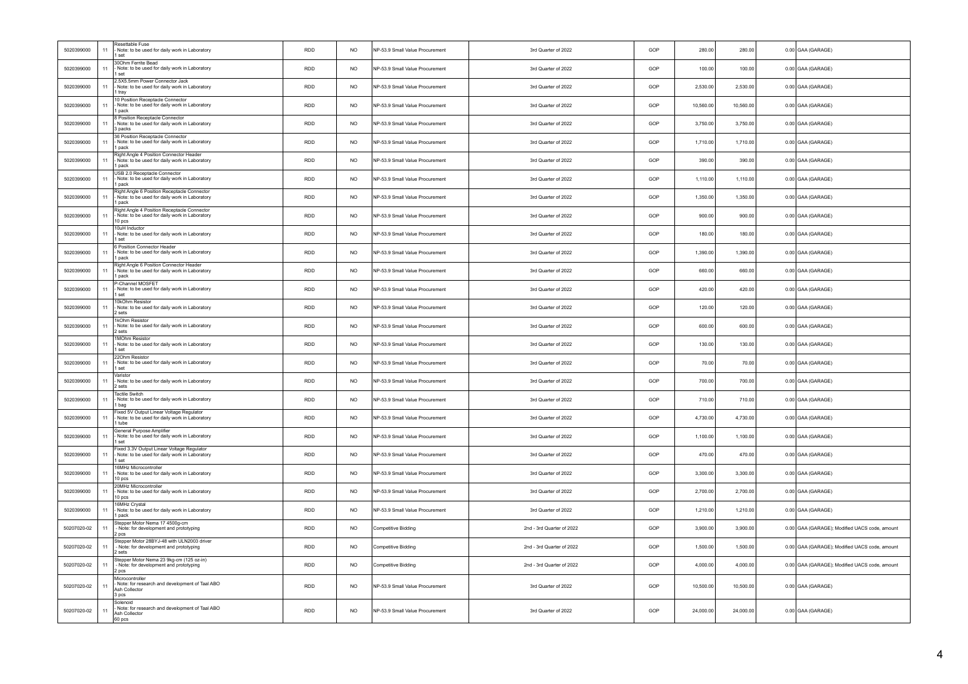| 5020399000  | 11   | Resettable Fuse<br>Note: to be used for daily work in Laboratory<br>set                                | <b>RDD</b> | <b>NO</b>       | NP-53.9 Small Value Procurement | 3rd Quarter of 2022       | GOP | 280.00    | 280.00    | 0.00 GAA (GARAGE)                             |
|-------------|------|--------------------------------------------------------------------------------------------------------|------------|-----------------|---------------------------------|---------------------------|-----|-----------|-----------|-----------------------------------------------|
| 5020399000  | 11   | 300hm Ferrite Bead<br>Note: to be used for daily work in Laboratory<br>1 set                           | <b>RDD</b> | <b>NO</b>       | NP-53.9 Small Value Procurement | 3rd Quarter of 2022       | GOP | 100.00    | 100.00    | 0.00 GAA (GARAGE)                             |
| 5020399000  | 11   | 2.5X5.5mm Power Connector Jack<br>Note: to be used for daily work in Laboratory<br>tray                | RDD        | <b>NO</b>       | VP-53.9 Small Value Procurement | 3rd Quarter of 2022       | GOP | 2,530.00  | 2,530.00  | 0.00 GAA (GARAGE)                             |
| 5020399000  | 11   | 10 Position Receptacle Connector<br>Note: to be used for daily work in Laboratory<br>1 pack            | <b>RDD</b> | <b>NO</b>       | NP-53.9 Small Value Procurement | 3rd Quarter of 2022       | GOP | 10,560.00 | 10,560.00 | 0.00 GAA (GARAGE)                             |
| 5020399000  | 11   | 8 Position Receptacle Connector<br>Note: to be used for daily work in Laboratory<br>3 packs            | RDD        | <b>NO</b>       | NP-53.9 Small Value Procurement | 3rd Quarter of 2022       | GOP | 3,750.00  | 3,750.00  | 0.00 GAA (GARAGE)                             |
| 5020399000  | 11   | 36 Position Receptacle Connector<br>Note: to be used for daily work in Laboratory<br>1 pack            | <b>RDD</b> | NO <sub>1</sub> | NP-53 9 Small Value Procurement | 3rd Quarter of 2022       | GOP | 1,710.00  | 1 710 00  | 0.00 GAA (GARAGE)                             |
| 5020399000  | 11   | Right Angle 4 Position Connector Header<br>Note: to be used for daily work in Laboratory<br>1 pack     | <b>RDD</b> | <b>NO</b>       | NP-53.9 Small Value Procurement | 3rd Quarter of 2022       | GOP | 390.00    | 390.00    | 0.00 GAA (GARAGE)                             |
| 5020399000  | 11   | USB 2.0 Receptacle Connector<br>Note: to be used for daily work in Laboratory<br>pack                  | <b>RDD</b> | <b>NO</b>       | NP-53.9 Small Value Procurement | 3rd Quarter of 2022       | GOP | 1,110.00  | 1,110.00  | 0.00 GAA (GARAGE)                             |
| 5020399000  | 11   | Right Angle 6 Position Receptacle Connector<br>Note: to be used for daily work in Laboratory<br>1 nack | <b>RDD</b> | <b>NO</b>       | NP-53.9 Small Value Procurement | 3rd Quarter of 2022       | GOP | 1,350.00  | 1,350.00  | 0.00 GAA (GARAGE)                             |
| 5020399000  | 11   | Right Angle 4 Position Receptacle Connector<br>Note: to be used for daily work in Laboratory<br>10 pcs | <b>RDD</b> | <b>NO</b>       | NP-53.9 Small Value Procurement | 3rd Quarter of 2022       | GOP | 900.00    | 900.00    | 0.00 GAA (GARAGE)                             |
| 5020399000  | 11   | 10uH Inductor<br>Note: to be used for daily work in Laboratory<br>set                                  | <b>RDD</b> | <b>NO</b>       | NP-53.9 Small Value Procurement | 3rd Quarter of 2022       | GOP | 180.00    | 180.00    | 0.00 GAA (GARAGE)                             |
| 5020399000  | $11$ | 6 Position Connector Header<br>Note: to be used for daily work in Laboratory<br>pack                   | RDD        | $NO$            | NP-53.9 Small Value Procurement | 3rd Quarter of 2022       | GOP | 1,390.00  | 1,390.00  | 0.00 GAA (GARAGE)                             |
| 5020399000  | 11   | Right Angle 6 Position Connector Header<br>Note: to be used for daily work in Laboratory<br>1 pack     | <b>RDD</b> | <b>NO</b>       | NP-53.9 Small Value Procurement | 3rd Quarter of 2022       | GOP | 660.00    | 660.00    | 0.00 GAA (GARAGE)                             |
| 5020399000  | 11   | P-Channel MOSFET<br>Note: to be used for daily work in Laboratory<br>set                               | RDD        | <b>NO</b>       | VP-53.9 Small Value Procurement | 3rd Quarter of 2022       | GOP | 420.00    | 420.00    | 0.00 GAA (GARAGE)                             |
| 5020399000  | 11   | 10kOhm Resistor<br>- Note: to be used for daily work in Laboratory<br>2 sets                           | <b>RDD</b> | N <sub>O</sub>  | NP-53 9 Small Value Procurement | 3rd Quarter of 2022       | GOP | 120.00    | 120.00    | 0.00 GAA (GARAGE)                             |
| 5020399000  | 11   | 1kOhm Resistor<br>Note: to be used for daily work in Laboratory<br>2 sets                              | RDD        | <b>NO</b>       | NP-53.9 Small Value Procurement | 3rd Quarter of 2022       | GOP | 600.00    | 600.00    | 0.00 GAA (GARAGE)                             |
| 5020399000  | 11   | 1MOhm Resistor<br>Note: to be used for daily work in Laboratory<br>1 set                               | <b>RDD</b> | N <sub>O</sub>  | NP-53 9 Small Value Procurement | 3rd Quarter of 2022       | GOP | 130.00    | 130.00    | 0.00 GAA (GARAGE)                             |
| 5020399000  | 11   | 220hm Resistor<br>Note: to be used for daily work in Laboratory<br>1 set                               | <b>RDD</b> | <b>NO</b>       | NP-53.9 Small Value Procurement | 3rd Quarter of 2022       | GOP | 70.00     | 70.00     | 0.00 GAA (GARAGE)                             |
| 5020399000  | 11   | Varistor<br>- Note: to be used for daily work in Laboratory<br>sets                                    | <b>RDD</b> | <b>NO</b>       | NP-53.9 Small Value Procurement | 3rd Quarter of 2022       | GOP | 700.00    | 700.00    | 0.00 GAA (GARAGE)                             |
| 5020399000  | 11   | <b>Tactile Switch</b><br>Note: to be used for daily work in Laboratory<br>1 bag                        | <b>RDD</b> | <b>NO</b>       | NP-53.9 Small Value Procurement | 3rd Quarter of 2022       | GOP | 710.00    | 710.00    | 0.00 GAA (GARAGE)                             |
| 5020399000  | 11   | Fixed 5V Output Linear Voltage Regulator<br>Note: to be used for daily work in Laboratory<br>1 tube    | <b>RDD</b> | N <sub>O</sub>  | VP-53.9 Small Value Procurement | 3rd Quarter of 2022       | GOP | 4,730.00  | 4,730.00  | 0.00 GAA (GARAGE)                             |
| 5020399000  | 11   | General Purpose Amplifier<br>Note: to be used for daily work in Laboratory<br>set                      | <b>RDD</b> | N <sub>O</sub>  | NP-53.9 Small Value Procurement | 3rd Quarter of 2022       | GOP | 1,100.00  | 1,100.00  | 0.00 GAA (GARAGE)                             |
| 5020399000  | $11$ | Fixed 3.3V Output Linear Voltage Regulator<br>Note: to be used for daily work in Laboratory<br>1 set   | <b>RDD</b> | <b>NO</b>       | NP-53.9 Small Value Procurement | 3rd Quarter of 2022       | GOP | 470.00    | 470.00    | 0.00 GAA (GARAGE)                             |
| 5020399000  | 11   | 16MHz Microcontroller<br>Note: to be used for daily work in Laboratory<br>10 pcs                       | RDD        | <b>NO</b>       | NP-53.9 Small Value Procurement | 3rd Quarter of 2022       | GOP | 3,300.00  | 3.300.00  | 0.00 GAA (GARAGE)                             |
| 5020399000  | 11   | 20MHz Microcontroller<br>Note: to be used for daily work in Laboratory<br>10 pcs                       | RDD        | <b>NO</b>       | NP-53.9 Small Value Procurement | 3rd Quarter of 2022       | GOP | 2,700.00  | 2,700.00  | 0.00 GAA (GARAGE)                             |
| 5020399000  | 11   | 16MHz Crystal<br>Note: to be used for daily work in Laboratory<br>1 pack                               | <b>RDD</b> | N <sub>O</sub>  | NP-53 9 Small Value Procurement | 3rd Quarter of 2022       | GOP | 1 210 00  | 1,210.00  | 0.00 GAA (GARAGE)                             |
| 50207020-02 | 11   | Stepper Motor Nema 17 4500g-cm<br>- Note: for development and prototyping<br>2 pcs                     | RDD        | <b>NO</b>       | Competitive Bidding             | 2nd - 3rd Quarter of 2022 | GOP | 3,900.00  | 3,900.00  | 0.00 GAA (GARAGE); Modified UACS code, amount |
| 50207020-02 | 11   | Stepper Motor 28BYJ-48 with ULN2003 driver<br>- Note: for development and prototyping<br>2 sets        | <b>RDD</b> | <b>NO</b>       | Competitive Bidding             | 2nd - 3rd Quarter of 2022 | GOP | 1,500.00  | 1,500.00  | 0.00 GAA (GARAGE); Modified UACS code, amount |
| 50207020-02 | 11   | Stepper Motor Nema 23 9kg-cm (125 oz-in)<br>- Note: for development and prototyping<br>2 pcs           | RDD        | <b>NO</b>       | Competitive Bidding             | 2nd - 3rd Quarter of 2022 | GOP | 4,000.00  | 4,000.00  | 0.00 GAA (GARAGE); Modified UACS code, amount |
| 50207020-02 | 11   | Microcontroller<br>Note: for research and development of Taal ABO<br>Ash Collector<br>3 <sub>pcs</sub> | <b>RDD</b> | <b>NO</b>       | NP-53.9 Small Value Procurement | 3rd Quarter of 2022       | GOP | 10.500.00 | 10.500.00 | 0.00 GAA (GARAGE)                             |
| 50207020-02 | 11   | Solenoid<br>Note: for research and development of Taal ABO<br>Ash Collector<br>60 pcs                  | <b>RDD</b> | <b>NO</b>       | NP-53.9 Small Value Procurement | 3rd Quarter of 2022       | GOP | 24,000.00 | 24,000.00 | 0.00 GAA (GARAGE)                             |
|             |      |                                                                                                        |            |                 |                                 |                           |     |           |           |                                               |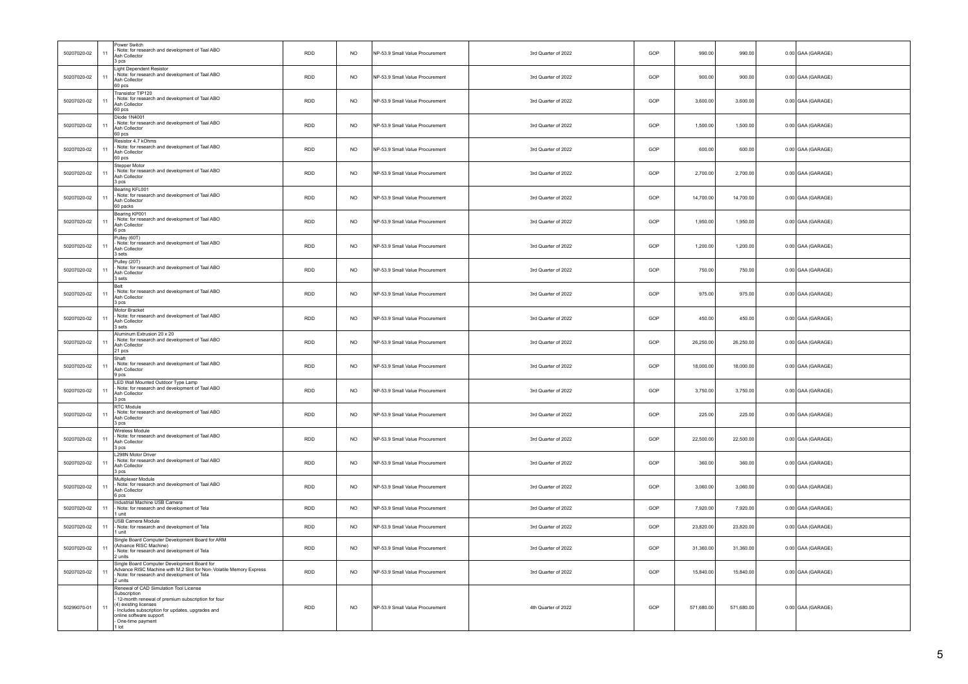| 50207020-02 | 11             | Power Switch<br>Note: for research and development of Taal ABO<br>Ash Collector<br>3 <sub>pcs</sub>                                                                                                                                            | RDD        | <b>NO</b>   | NP-53.9 Small Value Procurement | 3rd Quarter of 2022 | GOP | 990.00     | 990.00     | $0.00$ GAA (GARAGE) |
|-------------|----------------|------------------------------------------------------------------------------------------------------------------------------------------------------------------------------------------------------------------------------------------------|------------|-------------|---------------------------------|---------------------|-----|------------|------------|---------------------|
| 50207020-02 | 11             | Light Dependent Resistor<br>Note: for research and development of Taal ABO<br>Ash Collector<br>60 pcs                                                                                                                                          | <b>RDD</b> | <b>NO</b>   | NP-53.9 Small Value Procurement | 3rd Quarter of 2022 | GOP | 900.00     | 900.00     | 0.00 GAA (GARAGE)   |
| 50207020-02 |                | Transistor TIP120<br>Note: for research and development of Taal ABO<br>Ash Collector<br>60 pcs                                                                                                                                                 | RDD        | <b>NO</b>   | NP-53.9 Small Value Procurement | 3rd Quarter of 2022 | GOP | 3,600.00   | 3,600.00   | 0.00 GAA (GARAGE)   |
| 50207020-02 | 11             | Diode 1N4001<br>Note: for research and development of Taal ABO<br>Ash Collector<br>60 <sub>pos</sub>                                                                                                                                           | <b>RDD</b> | <b>NO</b>   | NP-53.9 Small Value Procurement | 3rd Quarter of 2022 | GOP | 1,500.00   | 1,500.00   | 0.00 GAA (GARAGE)   |
| 50207020-02 | 11             | Resistor 4 7 kOhms<br>Note: for research and development of Taal ABO<br>Ash Collector<br>60 pcs                                                                                                                                                | <b>RDD</b> | <b>NO</b>   | NP-53.9 Small Value Procurement | 3rd Quarter of 2022 | GOP | 600.00     | 600.00     | 0.00 GAA (GARAGE)   |
| 50207020-02 | 1 <sup>1</sup> | Stepper Motor<br>Note: for research and development of Taal ABO<br>Ash Collector<br>3 pcs                                                                                                                                                      | <b>RDD</b> | <b>NO</b>   | NP-53.9 Small Value Procurement | 3rd Quarter of 2022 | GOP | 2,700.00   | 2,700.00   | 0.00 GAA (GARAGE)   |
| 50207020-02 | 1 <sup>1</sup> | Bearing KFL001<br>Note: for research and development of Taal ABO<br>Ash Collector<br>60 packs                                                                                                                                                  | RDD        | $_{\sf NO}$ | NP-53.9 Small Value Procurement | 3rd Quarter of 2022 | GOP | 14,700.00  | 14,700.00  | 0.00 GAA (GARAGE)   |
| 50207020-02 | 11             | Bearing KP001<br>Note: for research and development of Taal ABO<br>Ash Collector<br>6 pcs                                                                                                                                                      | <b>RDD</b> | <b>NO</b>   | NP-53.9 Small Value Procurement | 3rd Quarter of 2022 | GOP | 1,950.00   | 1,950.00   | 0.00 GAA (GARAGE)   |
| 50207020-02 | 11             | Pulley (60T)<br>Note: for research and development of Taal ABO<br>Ash Collector<br>3 sets                                                                                                                                                      | <b>RDD</b> | <b>NO</b>   | NP-53.9 Small Value Procurement | 3rd Quarter of 2022 | GOP | 1.200.00   | 1.200.00   | 0.00 GAA (GARAGE)   |
| 50207020-02 | 11             | Pulley (20T)<br>- Note: for research and development of Taal ABO<br>Ash Collector<br>3 sets                                                                                                                                                    | <b>RDD</b> | <b>NO</b>   | NP-53.9 Small Value Procurement | 3rd Quarter of 2022 | GOP | 750.00     | 750.00     | 0.00 GAA (GARAGE)   |
| 50207020-02 | 11             | Belt<br>- Note: for research and development of Taal ABO<br>Ash Collector<br>3 pcs                                                                                                                                                             | <b>RDD</b> | <b>NO</b>   | NP-53.9 Small Value Procurement | 3rd Quarter of 2022 | GOP | 975.00     | 975.00     | 0.00 GAA (GARAGE)   |
| 50207020-02 | 11             | Motor Bracket<br>Note: for research and development of Taal ABO<br>Ash Collector<br>3 sets                                                                                                                                                     | <b>RDD</b> | <b>NO</b>   | NP-53.9 Small Value Procurement | 3rd Quarter of 2022 | GOP | 450.00     | 450.00     | 0.00 GAA (GARAGE)   |
| 50207020-02 |                | Aluminum Extrusion 20 x 20<br>Note: for research and development of Taal ABO<br>Ash Collector<br>21 pcs                                                                                                                                        | <b>RDD</b> | <b>NO</b>   | NP-53.9 Small Value Procurement | 3rd Quarter of 2022 | GOP | 26,250.00  | 26,250.00  | 0.00 GAA (GARAGE)   |
| 50207020-02 | 1 <sup>1</sup> | Shaft<br>- Note: for research and development of Taal ABO<br>Ash Collector<br>9 pcs                                                                                                                                                            | <b>RDD</b> | <b>NO</b>   | NP-53.9 Small Value Procurement | 3rd Quarter of 2022 | GOP | 18,000.00  | 18,000.00  | 0.00 GAA (GARAGE)   |
| 50207020-02 |                | LED Wall Mounted Outdoor Type Lamp<br>Note: for research and development of Taal ABO<br>Ash Collector<br>3 pcs                                                                                                                                 | <b>RDD</b> | <b>NO</b>   | NP-53.9 Small Value Procurement | 3rd Quarter of 2022 | GOP | 3,750.00   | 3,750.00   | 0.00 GAA (GARAGE)   |
| 50207020-02 | 11             | <b>RTC Module</b><br>Note: for research and development of Taal ABO<br>Ash Collector<br>3 pcs                                                                                                                                                  | <b>RDD</b> | <b>NO</b>   | NP-53.9 Small Value Procurement | 3rd Quarter of 2022 | GOP | 225.00     | 225.00     | 0.00 GAA (GARAGE)   |
| 50207020-02 | 11             | Wireless Module<br>Note: for research and development of Taal ABO<br>Ash Collector<br>3 <sub>pcs</sub>                                                                                                                                         | <b>RDD</b> | <b>NO</b>   | NP-53.9 Small Value Procurement | 3rd Quarter of 2022 | GOP | 22,500.00  | 22,500.00  | 0.00 GAA (GARAGE)   |
| 50207020-02 | 11             | L298N Motor Driver<br>Note: for research and development of Taal ABO<br>Ash Collector<br>3 <sub>pos</sub>                                                                                                                                      | <b>RDD</b> | <b>NO</b>   | NP-53.9 Small Value Procurement | 3rd Quarter of 2022 | GOP | 360.00     | 360.00     | 0.00 GAA (GARAGE)   |
| 50207020-02 |                | Multiplexer Module<br>- Note: for research and development of Taal ABO<br>Ash Collector<br>6 <sub>pos</sub>                                                                                                                                    | <b>RDD</b> | <b>NO</b>   | NP-53.9 Small Value Procurement | 3rd Quarter of 2022 | GOP | 3,060.00   | 3,060.00   | 0.00 GAA (GARAGE)   |
| 50207020-02 | 11             | Industrial Machine USB Camera<br>- Note: for research and development of Tela<br>1 unit                                                                                                                                                        | <b>RDD</b> | <b>NO</b>   | NP-53.9 Small Value Procurement | 3rd Quarter of 2022 | GOP | 7.920.00   | 7,920.00   | 0.00 GAA (GARAGE)   |
| 50207020-02 | 11             | <b>USB Camera Module</b><br>- Note: for research and development of Tela<br>1 unit                                                                                                                                                             | RDD        | <b>NO</b>   | NP-53.9 Small Value Procurement | 3rd Quarter of 2022 | GOP | 23,820.00  | 23,820.00  | 0.00 GAA (GARAGE)   |
| 50207020-02 | 11             | Single Board Computer Development Board for ARM<br>(Advance RISC Machine)<br>Note: for research and development of Tela<br>2 units                                                                                                             | <b>RDD</b> | <b>NO</b>   | NP-53.9 Small Value Procurement | 3rd Quarter of 2022 | GOP | 31,360.00  | 31,360.00  | 0.00 GAA (GARAGE)   |
| 50207020-02 | 11             | Single Board Computer Development Board for<br>Advance RISC Machine with M.2 Slot for Non- Volatile Memory Express<br>- Note: for research and development of Tela<br>2 units                                                                  | RDD        | <b>NO</b>   | NP-53.9 Small Value Procurement | 3rd Quarter of 2022 | GOP | 15,840.00  | 15,840.00  | 0.00 GAA (GARAGE)   |
| 50299070-01 |                | Renewal of CAD Simulation Tool License<br>Subscription<br>12-month renewal of premium subscription for four<br>4) existing licenses<br>Includes subscription for updates, upgrades and<br>online software support<br>One-time payment<br>1 lot | <b>RDD</b> | <b>NO</b>   | NP-53.9 Small Value Procurement | 4th Quarter of 2022 | GOP | 571,680.00 | 571,680.00 | 0.00 GAA (GARAGE)   |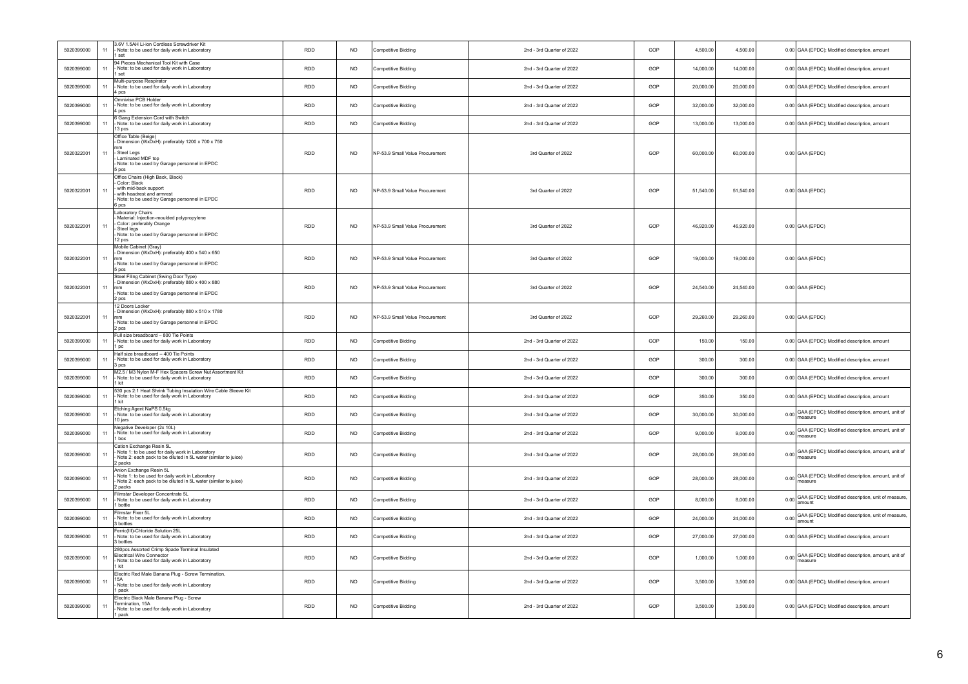| 5020399000 | 11   | 3.6V 1.5AH Li-ion Cordless Screwdriver Kit<br>Note: to be used for daily work in Laboratory                                                                        | <b>RDD</b> | <b>NO</b>      | Competitive Bidding             | 2nd - 3rd Quarter of 2022 | GOP | 4,500.00<br>4,500.00   |        | 0.00 GAA (EPDC); Modified description, amount                     |
|------------|------|--------------------------------------------------------------------------------------------------------------------------------------------------------------------|------------|----------------|---------------------------------|---------------------------|-----|------------------------|--------|-------------------------------------------------------------------|
| 5020399000 | 11   | 1 set<br>94 Pieces Mechanical Tool Kit with Case<br>Note: to be used for daily work in Laboratory                                                                  | RDD        | NO.            | Competitive Bidding             | 2nd - 3rd Quarter of 2022 | GOP | 14,000.00<br>14,000.00 |        | 0.00 GAA (EPDC); Modified description, amount                     |
| 5020399000 | $11$ | 1 set<br>Multi-purpose Respirator<br>Note: to be used for daily work in Laboratory                                                                                 | <b>RDD</b> | N <sub>O</sub> | Competitive Bidding             | 2nd - 3rd Quarter of 2022 | GOP | 20,000.00<br>20,000.00 |        | 0.00 GAA (EPDC); Modified description, amount                     |
| 5020399000 | 11   | 4 pcs<br>Omnivise PCB Holder<br>Note: to be used for daily work in Laboratory                                                                                      | <b>RDD</b> | <b>NO</b>      | Competitive Bidding             | 2nd - 3rd Quarter of 2022 | GOP | 32,000.00<br>32,000.00 |        | 0.00 GAA (EPDC); Modified description, amount                     |
| 5020399000 | 11   | 4 pcs<br>6 Gang Extension Cord with Switch<br>Note: to be used for daily work in Laboratory                                                                        | <b>RDD</b> | <b>NO</b>      | <b>Competitive Bidding</b>      | 2nd - 3rd Quarter of 2022 | GOP | 13,000.00<br>13,000.00 |        | 0.00 GAA (EPDC); Modified description, amount                     |
|            |      | 13 nos<br>Office Table (Beige)                                                                                                                                     |            |                |                                 |                           |     |                        |        |                                                                   |
| 5020322001 | 11   | Dimension (WxDxH): preferably 1200 x 700 x 750<br>Steel Legs<br>Laminated MDF top<br>Note: to be used by Garage personnel in EPDC<br>5 pcs                         | RDD        | $NO$           | NP-53.9 Small Value Procurement | 3rd Quarter of 2022       | GOP | 60,000.00<br>60,000.00 |        | $0.00$ GAA (EPDC)                                                 |
| 5020322001 | 11   | Office Chairs (High Back, Black)<br>Color: Black<br>with mid-back support<br>with headrest and armrest<br>Note: to be used by Garage personnel in EPDC<br>6 pcs    | <b>RDD</b> | <b>NO</b>      | NP-53.9 Small Value Procurement | 3rd Quarter of 2022       | GOP | 51,540.00<br>51,540.00 |        | $0.00$ GAA (EPDC)                                                 |
| 5020322001 | 11   | Laboratory Chairs<br>Material: Injection-moulded polypropylene<br>Color: preferably Orange<br>Steel legs<br>Note: to be used by Garage personnel in EPDC<br>12 pcs | <b>RDD</b> | NO.            | NP-53 9 Small Value Procurement | 3rd Quarter of 2022       | GOP | 46,920.00<br>46,920.00 |        | $0.00$ GAA (EPDC)                                                 |
| 5020322001 | 11   | Mobile Cabinet (Grav)<br>Dimension (WxDxH): preferably 400 x 540 x 650<br>mm<br>Note: to be used by Garage personnel in EPDC<br>5 pcs                              | RDD        | NO.            | NP-53.9 Small Value Procurement | 3rd Quarter of 2022       | GOP | 19,000.00<br>19,000.00 |        | $0.00$ GAA (EPDC)                                                 |
| 5020322001 | 11   | Steel Filing Cabinet (Swing Door Type)<br>Dimension (WxDxH): preferably 880 x 400 x 880<br>mm<br>Note: to be used by Garage personnel in EPDC<br>2 pcs             | <b>RDD</b> | <b>NO</b>      | NP-53.9 Small Value Procurement | 3rd Quarter of 2022       | GOP | 24,540.00<br>24,540.00 |        | $0.00$ GAA (EPDC)                                                 |
| 5020322001 | 11   | 12 Doors Locker<br>Dimension (WxDxH): preferably 880 x 510 x 1780<br>mm<br>Note: to be used by Garage personnel in EPDC<br>2 pcs                                   | RDD        | <b>NO</b>      | NP-53.9 Small Value Procurement | 3rd Quarter of 2022       | GOP | 29,260.00<br>29,260.00 |        | $0.00$ GAA (EPDC)                                                 |
| 5020399000 | 11   | Full size breadboard - 800 Tie Points<br>Note: to be used for daily work in Laboratory<br>1nc                                                                      | <b>RDD</b> | <b>NO</b>      | Competitive Bidding             | 2nd - 3rd Quarter of 2022 | GOP | 150.00                 | 150.00 | 0.00 GAA (EPDC); Modified description, amount                     |
| 5020399000 | 11   | Half size breadboard - 400 Tie Points<br>Note: to be used for daily work in Laboratory<br>3 pcs                                                                    | RDD        | <b>NO</b>      | <b>Competitive Bidding</b>      | 2nd - 3rd Quarter of 2022 | GOP | 300.00                 | 300.00 | 0.00 GAA (EPDC); Modified description, amount                     |
| 5020399000 | $11$ | M2.5 / M3 Nylon M-F Hex Spacers Screw Nut Assortment Kit<br>Note: to be used for daily work in Laboratory<br>1 kit                                                 | <b>RDD</b> | NO.            | Competitive Bidding             | 2nd - 3rd Quarter of 2022 | GOP | 300.00                 | 300.00 | 0.00 GAA (EPDC); Modified description, amount                     |
| 5020399000 | 11   | 530 pcs 2:1 Heat Shrink Tubing Insulation Wire Cable Sleeve Kit<br>Note: to be used for daily work in Laboratory<br>kit                                            | RDD        | <b>NO</b>      | Competitive Bidding             | 2nd - 3rd Quarter of 2022 | GOP | 350.00                 | 350.00 | 0.00 GAA (EPDC); Modified description, amount                     |
| 5020399000 | 11   | Etching Agent NaPS 0.5kg<br>Note: to be used for daily work in Laboratory<br>10 jars                                                                               | <b>RDD</b> | <b>NO</b>      | Competitive Bidding             | 2nd - 3rd Quarter of 2022 | GOP | 30,000.00<br>30,000.00 |        | 0.00 GAA (EPDC); Modified description, amount, unit of<br>measure |
| 5020399000 | 11   | Negative Developer (2x 10L)<br>Note: to be used for daily work in Laboratory<br>1 box                                                                              | RDD        | <b>NO</b>      | <b>Competitive Bidding</b>      | 2nd - 3rd Quarter of 2022 | GOP | 9,000.00<br>9,000.00   |        | 0.00 GAA (EPDC); Modified description, amount, unit of<br>measure |
| 5020399000 | 11   | Cation Exchange Resin 5L<br>Note 1: to be used for daily work in Laboratory<br>Note 2: each pack to be diluted in 5L water (similar to juice)<br>2 packs           | <b>RDD</b> | <b>NO</b>      | Competitive Bidding             | 2nd - 3rd Quarter of 2022 | GOP | 28,000.00<br>28,000.00 |        | 0.00 GAA (EPDC); Modified description, amount, unit of<br>measure |
| 5020399000 | 11   | Anion Exchange Resin 5L<br>Note 1: to be used for daily work in Laboratory<br>Note 2: each pack to be diluted in 5L water (similar to juice)<br>2 packs            | <b>RDD</b> | <b>NO</b>      | Competitive Bidding             | 2nd - 3rd Quarter of 2022 | GOP | 28,000.00<br>28,000.00 |        | 0.00 GAA (EPDC); Modified description, amount, unit of<br>neasure |
| 5020399000 | 11   | Filmstar Developer Concentrate 5L<br>Note: to be used for daily work in Laboratory<br>1 bottle                                                                     | <b>RDD</b> | <b>NO</b>      | Competitive Bidding             | 2nd - 3rd Quarter of 2022 | GOP | 8,000.00<br>8,000.00   |        | 0.00 GAA (EPDC); Modified description, unit of measure,           |
| 5020399000 | 11   | Filmstar Fixer 5L<br>Note: to be used for daily work in Laboratory<br>3 bottles                                                                                    | RDD        | NO.            | Competitive Bidding             | 2nd - 3rd Quarter of 2022 | GOP | 24,000.00<br>24,000.00 | 0.00   | GAA (EPDC); Modified description, unit of measure,<br>amount      |
| 5020399000 | 11   | Ferric(III)-Chloride Solution 25L<br>Note: to be used for daily work in Laboratory<br>3 bottles                                                                    | RDD        | N <sub>O</sub> | Competitive Bidding             | 2nd - 3rd Quarter of 2022 | GOP | 27,000.00<br>27,000.00 |        | 0.00 GAA (EPDC); Modified description, amount                     |
| 5020399000 | 11   | 280pcs Assorted Crimp Spade Terminal Insulated<br>Electrical Wire Connector<br>Note: to be used for daily work in Laboratory<br>1 kit                              | <b>RDD</b> | <b>NO</b>      | <b>Competitive Bidding</b>      | 2nd - 3rd Quarter of 2022 | GOP | 1,000.00<br>1.000.00   |        | 0.00 GAA (EPDC); Modified description, amount, unit of<br>measure |
| 5020399000 | 11   | Electric Red Male Banana Plug - Screw Termination,<br>15A<br>- Note: to be used for daily work in Laboratory<br>pack                                               | RDD        | N <sub>O</sub> | <b>Competitive Bidding</b>      | 2nd - 3rd Quarter of 2022 | GOP | 3,500.00<br>3,500.00   |        | 0.00 GAA (EPDC); Modified description, amount                     |
| 5020399000 | 11   | Electric Black Male Banana Plug - Screw<br>Termination, 15A<br>Note: to be used for daily work in Laboratory<br>1 pack                                             | <b>RDD</b> | N <sub>O</sub> | Competitive Bidding             | 2nd - 3rd Quarter of 2022 | GOP | 3.500.00<br>3,500.00   |        | 0.00 GAA (EPDC); Modified description, amount                     |
|            |      |                                                                                                                                                                    |            |                |                                 |                           |     |                        |        |                                                                   |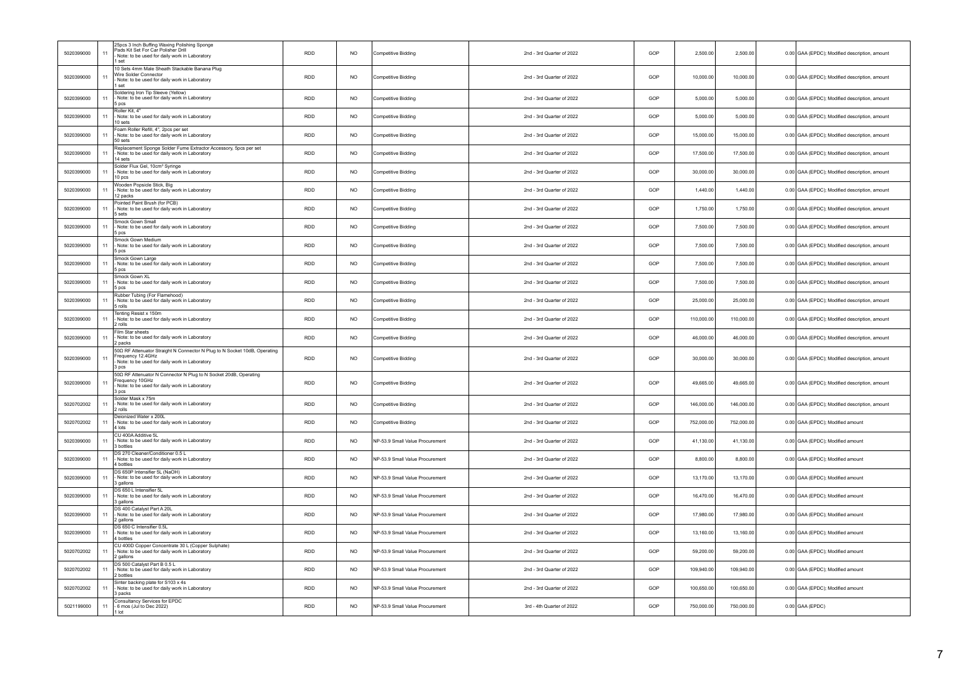| 5020399000 | 11 | 25pcs 3 Inch Buffing Waxing Polishing Sponge<br>Pads Kit Set For Car Polisher Drill<br>Note: to be used for daily work in Laboratory<br>1 set            | RDD        | NO.       | Competitive Bidding             | 2nd - 3rd Quarter of 2022 | GOP | 2,500.00<br>2,500.00     | 0.00 GAA (EPDC); Modified description, amount |
|------------|----|----------------------------------------------------------------------------------------------------------------------------------------------------------|------------|-----------|---------------------------------|---------------------------|-----|--------------------------|-----------------------------------------------|
| 5020399000 | 11 | 10 Sets 4mm Male Sheath Stackable Banana Plug<br>Wire Solder Connector<br>Note: to be used for daily work in Laboratory<br>1 set                         | <b>RDD</b> | NO.       | Competitive Bidding             | 2nd - 3rd Quarter of 2022 | GOP | 10.000.00<br>10.000.00   | 0.00 GAA (EPDC); Modified description, amount |
| 5020399000 | 11 | Soldering Iron Tip Sleeve (Yellow)<br>- Note: to be used for daily work in Laboratory<br>5 pcs                                                           | RDD.       | NO.       | <b>Competitive Bidding</b>      | 2nd - 3rd Quarter of 2022 | GOP | 5,000.00<br>5.000.00     | 0.00 GAA (EPDC); Modified description, amount |
| 5020399000 | 11 | Roller Kit, 4"<br>Note: to be used for daily work in Laboratory<br>10 sets                                                                               | RDD        | NO.       | Competitive Bidding             | 2nd - 3rd Quarter of 2022 | GOP | 5,000.00<br>5,000.00     | 0.00 GAA (EPDC); Modified description, amount |
| 5020399000 | 11 | Foam Roller Refill, 4", 2pcs per set<br>- Note: to be used for daily work in Laboratory<br>50 sets                                                       | <b>RDD</b> | NO.       | Competitive Bidding             | 2nd - 3rd Quarter of 2022 | GOP | 15,000.00<br>15,000.00   | 0.00 GAA (EPDC); Modified description, amount |
| 5020399000 | 11 | Replacement Sponge Solder Fume Extractor Accessory, 5pcs per set<br>Note: to be used for daily work in Laboratory<br>14 sets                             | RDD        | <b>NO</b> | Competitive Bidding             | 2nd - 3rd Quarter of 2022 | GOP | 17,500.00<br>17,500.00   | 0.00 GAA (EPDC); Modified description, amount |
| 5020399000 | 11 | Solder Flux Gel, 10cm <sup>3</sup> Syringe<br>Note: to be used for daily work in Laboratory<br>10 pcs                                                    | RDD.       | NO.       | Competitive Bidding             | 2nd - 3rd Quarter of 2022 | GOP | 30,000.00<br>30,000.00   | 0.00 GAA (EPDC); Modified description, amount |
| 5020399000 | 11 | Wooden Popsicle Stick, Big<br>Note: to be used for daily work in Laboratory<br>12 packs                                                                  | <b>RDD</b> | NO.       | Competitive Bidding             | 2nd - 3rd Quarter of 2022 | GOP | 1,440.00<br>1,440.00     | 0.00 GAA (EPDC); Modified description, amount |
| 5020399000 | 11 | Pointed Paint Brush (for PCB)<br>Note: to be used for daily work in Laboratory<br>5 sets                                                                 | <b>RDD</b> | <b>NO</b> | Competitive Bidding             | 2nd - 3rd Quarter of 2022 | GOP | 1,750.00<br>1,750.00     | 0.00 GAA (EPDC); Modified description, amount |
| 5020399000 | 11 | Smock Gown Small<br>- Note: to be used for daily work in Laboratory<br>5 pcs                                                                             | RDD        | NO.       | Competitive Bidding             | 2nd - 3rd Quarter of 2022 | GOP | 7,500.00<br>7,500.00     | 0.00 GAA (EPDC); Modified description, amount |
| 5020399000 | 11 | Smock Gown Medium<br>Note: to be used for daily work in Laboratory<br>5 pcs                                                                              | RDD.       | NO.       | Competitive Bidding             | 2nd - 3rd Quarter of 2022 | GOP | 7,500.00<br>7,500.00     | 0.00 GAA (EPDC); Modified description, amount |
| 5020399000 | 11 | Smock Gown Large<br>Note: to be used for daily work in Laboratory<br>5 pcs                                                                               | RDD        | NO.       | Competitive Bidding             | 2nd - 3rd Quarter of 2022 | GOP | 7,500.00<br>7,500.00     | 0.00 GAA (EPDC); Modified description, amount |
| 5020399000 | 11 | Smock Gown XL<br>Note: to be used for daily work in Laboratory<br>5 pcs                                                                                  | <b>RDD</b> | NO.       | Competitive Bidding             | 2nd - 3rd Quarter of 2022 | GOP | 7,500.00<br>7,500.00     | 0.00 GAA (EPDC); Modified description, amount |
| 5020399000 | 11 | Rubber Tubing (For Flamehood)<br>- Note: to be used for daily work in Laboratory<br>5 rolls                                                              | RDD        | NO.       | Competitive Bidding             | 2nd - 3rd Quarter of 2022 | GOP | 25,000.00<br>25,000.00   | 0.00 GAA (EPDC); Modified description, amount |
| 5020399000 | 11 | Tenting Resist x 150m<br>Note: to be used for daily work in Laboratory<br>2 rolls                                                                        | RDD        | <b>NO</b> | Competitive Bidding             | 2nd - 3rd Quarter of 2022 | GOP | 110,000.00<br>110,000.00 | 0.00 GAA (EPDC); Modified description, amount |
| 5020399000 | 11 | Film Star sheets<br>- Note: to be used for daily work in Laboratory<br>2 packs                                                                           | <b>RDD</b> | NO.       | Competitive Bidding             | 2nd - 3rd Quarter of 2022 | GOP | 46,000.00<br>46,000.00   | 0.00 GAA (EPDC); Modified description, amount |
| 5020399000 | 11 | 500 RF Attenuator Straight N Connector N Plug to N Socket 10dB, Operating<br>Frequency 12.4GHz<br>Note: to be used for daily work in Laboratory<br>3 pcs | <b>RDD</b> | NO.       | Competitive Bidding             | 2nd - 3rd Quarter of 2022 | GOP | 30,000.00<br>30,000.00   | 0.00 GAA (EPDC): Modified description, amount |
| 5020399000 | 11 | 500 RF Attenuator N Connector N Plug to N Socket 20dB, Operating<br>Frequency 10GHz<br>Note: to be used for daily work in Laboratory<br>3 pcs            | RDD        | <b>NO</b> | Competitive Bidding             | 2nd - 3rd Quarter of 2022 | GOP | 49,665.00<br>49,665.00   | 0.00 GAA (EPDC); Modified description, amount |
| 5020702002 | 11 | Solder Mask x 75m<br>- Note: to be used for daily work in Laboratory<br>2 rolls                                                                          | RDD        | <b>NO</b> | Competitive Bidding             | 2nd - 3rd Quarter of 2022 | GOP | 146,000.00<br>146,000.00 | 0.00 GAA (EPDC); Modified description, amount |
| 5020702002 | 11 | Dejonized Water x 200L<br>Note: to be used for daily work in Laboratory<br>4 lots                                                                        | <b>RDD</b> | NO.       | Competitive Bidding             | 2nd - 3rd Quarter of 2022 | GOP | 752.000.00<br>752,000.00 | 0.00 GAA (EPDC); Modified amount              |
| 5020399000 | 11 | CU 400A Additive 5L<br>Note: to be used for daily work in Laboratory<br>3 bottles                                                                        | RDD        | NO.       | NP-53.9 Small Value Procurement | 2nd - 3rd Quarter of 2022 | GOP | 41,130.00<br>41,130.00   | 0.00 GAA (EPDC); Modified amount              |
| 5020399000 | 11 | DS 270 Cleaner/Conditioner 0.5 L<br>- Note: to be used for daily work in Laboratory<br>4 bottles                                                         | <b>RDD</b> | NO.       | NP-53 9 Small Value Procurement | 2nd - 3rd Quarter of 2022 | GOP | 8.800.00<br>8.800.00     | 0.00 GAA (EPDC); Modified amount              |
| 5020399000 | 11 | DS 650P Intensifier 5L (NaOH)<br>Note: to be used for daily work in Laboratory<br>3 gallons                                                              | RDD        | <b>NO</b> | NP-53.9 Small Value Procurement | 2nd - 3rd Quarter of 2022 | GOP | 13,170.00<br>13,170.00   | 0.00 GAA (EPDC); Modified amount              |
| 5020399000 | 11 | DS 650 L Intensifier 5L<br>Note: to be used for daily work in Laboratory<br>3 gallons                                                                    | RDD.       | NO.       | NP-53.9 Small Value Procurement | 2nd - 3rd Quarter of 2022 | GOP | 16,470.00<br>16,470.00   | 0.00 GAA (EPDC); Modified amount              |
| 5020399000 | 11 | DS 400 Catalyst Part A 20L<br>Note: to be used for daily work in Laboratory<br>2 gallons                                                                 | RDD        | <b>NO</b> | NP-53.9 Small Value Procurement | 2nd - 3rd Quarter of 2022 | GOP | 17,980.00<br>17,980.00   | 0.00 GAA (EPDC); Modified amount              |
| 5020399000 | 11 | DS 650 C Intensifier 0.5L<br>- Note: to be used for daily work in Laboratory<br>4 bottles                                                                | <b>RDD</b> | NO.       | NP-53.9 Small Value Procurement | 2nd - 3rd Quarter of 2022 | GOP | 13,160.00<br>13.160.00   | 0.00 GAA (EPDC); Modified amount              |
| 5020702002 | 11 | CU 400D Copper Concentrate 30 L (Copper Sulphate)<br>Note: to be used for daily work in Laboratory<br>2 gallons                                          | RDD        | <b>NO</b> | NP-53.9 Small Value Procurement | 2nd - 3rd Quarter of 2022 | GOP | 59,200.00<br>59,200.00   | 0.00 GAA (EPDC); Modified amount              |
| 5020702002 | 11 | DS 500 Catalyst Part B 0.5 L<br>Note: to be used for daily work in Laboratory<br>2 bottles                                                               | RDD        | NO.       | NP-53.9 Small Value Procurement | 2nd - 3rd Quarter of 2022 | GOP | 109,940.00<br>109,940.00 | 0.00 GAA (EPDC); Modified amount              |
| 5020702002 | 11 | Sinter backing plate for S103 x 4s<br>Note: to be used for daily work in Laboratory<br>3 packs                                                           | RDD        | <b>NO</b> | VP-53.9 Small Value Procurement | 2nd - 3rd Quarter of 2022 | GOP | 100,650.00<br>100,650.00 | 0.00 GAA (EPDC); Modified amount              |
| 5021199000 | 11 | Consultancy Services for EPDC<br>- 6 mos (Jul to Dec 2022)<br>$1$ Int                                                                                    | <b>RDD</b> | NO.       | NP-53.9 Small Value Procurement | 3rd - 4th Quarter of 2022 | GOP | 750,000.00<br>750,000.00 | $0.00$ GAA (EPDC)                             |